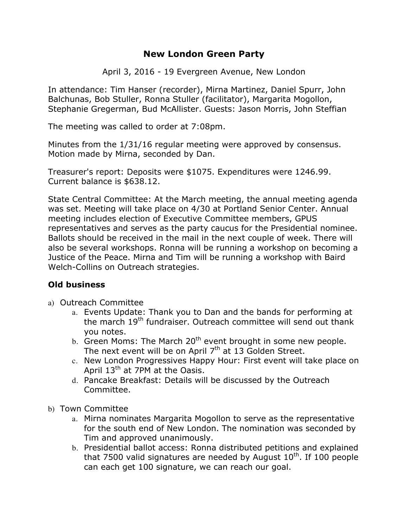# **New London Green Party**

April 3, 2016 - 19 Evergreen Avenue, New London

In attendance: Tim Hanser (recorder), Mirna Martinez, Daniel Spurr, John Balchunas, Bob Stuller, Ronna Stuller (facilitator), Margarita Mogollon, Stephanie Gregerman, Bud McAllister. Guests: Jason Morris, John Steffian

The meeting was called to order at 7:08pm.

Minutes from the 1/31/16 regular meeting were approved by consensus. Motion made by Mirna, seconded by Dan.

Treasurer's report: Deposits were \$1075. Expenditures were 1246.99. Current balance is \$638.12.

State Central Committee: At the March meeting, the annual meeting agenda was set. Meeting will take place on 4/30 at Portland Senior Center. Annual meeting includes election of Executive Committee members, GPUS representatives and serves as the party caucus for the Presidential nominee. Ballots should be received in the mail in the next couple of week. There will also be several workshops. Ronna will be running a workshop on becoming a Justice of the Peace. Mirna and Tim will be running a workshop with Baird Welch-Collins on Outreach strategies.

### **Old business**

- a) Outreach Committee
	- a. Events Update: Thank you to Dan and the bands for performing at the march 19<sup>th</sup> fundraiser. Outreach committee will send out thank you notes.
	- b. Green Moms: The March  $20<sup>th</sup>$  event brought in some new people. The next event will be on April  $7<sup>th</sup>$  at 13 Golden Street.
	- c. New London Progressives Happy Hour: First event will take place on April  $13<sup>th</sup>$  at 7PM at the Oasis.
	- d. Pancake Breakfast: Details will be discussed by the Outreach Committee.
- b) Town Committee
	- a. Mirna nominates Margarita Mogollon to serve as the representative for the south end of New London. The nomination was seconded by Tim and approved unanimously.
	- b. Presidential ballot access: Ronna distributed petitions and explained that 7500 valid signatures are needed by August  $10<sup>th</sup>$ . If 100 people can each get 100 signature, we can reach our goal.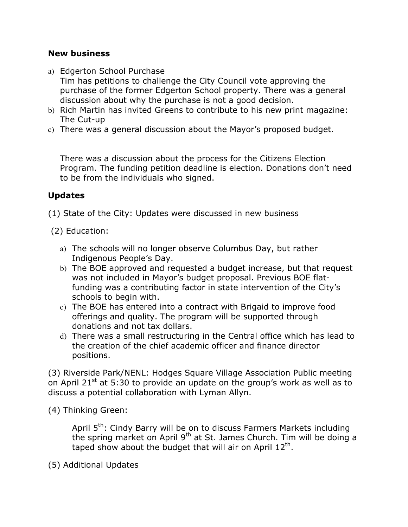## **New business**

- a) Edgerton School Purchase Tim has petitions to challenge the City Council vote approving the purchase of the former Edgerton School property. There was a general discussion about why the purchase is not a good decision.
- b) Rich Martin has invited Greens to contribute to his new print magazine: The Cut-up
- c) There was a general discussion about the Mayor's proposed budget.

There was a discussion about the process for the Citizens Election Program. The funding petition deadline is election. Donations don't need to be from the individuals who signed.

# **Updates**

(1) State of the City: Updates were discussed in new business

- (2) Education:
	- a) The schools will no longer observe Columbus Day, but rather Indigenous People's Day.
	- b) The BOE approved and requested a budget increase, but that request was not included in Mayor's budget proposal. Previous BOE flatfunding was a contributing factor in state intervention of the City's schools to begin with.
	- c) The BOE has entered into a contract with Brigaid to improve food offerings and quality. The program will be supported through donations and not tax dollars.
	- d) There was a small restructuring in the Central office which has lead to the creation of the chief academic officer and finance director positions.

(3) Riverside Park/NENL: Hodges Square Village Association Public meeting on April 21 $\mathrm{st}$  at 5:30 to provide an update on the group's work as well as to discuss a potential collaboration with Lyman Allyn.

(4) Thinking Green:

April 5<sup>th</sup>: Cindy Barry will be on to discuss Farmers Markets including the spring market on April  $9<sup>th</sup>$  at St. James Church. Tim will be doing a taped show about the budget that will air on April  $12<sup>th</sup>$ .

(5) Additional Updates